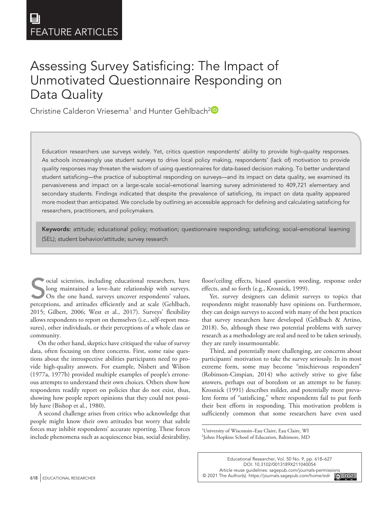**104[0054](http://crossmark.crossref.org/dialog/?doi=10.3102%2F0013189X211040054&domain=pdf&date_stamp=2021-08-24)**EDRXXX10.3102/0013189X211040054Educational Researcher**Educational Researcher**

# Assessing Survey Satisficing: The Impact of Unmotivated Questionnaire Responding on Data Quality

Christine Calderon Vriesema<sup>1</sup> and Hunter Gehlbach<sup>2</sup>

Education researchers use surveys widely. Yet, critics question respondents' ability to provide high-quality responses. As schools increasingly use student surveys to drive local policy making, respondents' (lack of) motivation to provide quality responses may threaten the wisdom of using questionnaires for data-based decision making. To better understand student satisficing—the practice of suboptimal responding on surveys—and its impact on data quality, we examined its pervasiveness and impact on a large-scale social–emotional learning survey administered to 409,721 elementary and secondary students. Findings indicated that despite the prevalence of satisficing, its impact on data quality appeared more modest than anticipated. We conclude by outlining an accessible approach for defining and calculating satisficing for researchers, practitioners, and policymakers.

Keywords: attitude; educational policy; motivation; questionnaire responding; satisficing; social-emotional learning (SEL); student behavior/attitude; survey research

Social scientists, including educational researchers, have<br>long maintained a love-hate relationship with surveys.<br>On the one hand, surveys uncover respondents' values,<br>perceptions, and attitudes efficiently and at scale (G long maintained a love–hate relationship with surveys. On the one hand, surveys uncover respondents' values, perceptions, and attitudes efficiently and at scale (Gehlbach, 2015; Gilbert, 2006; West et al., 2017). Surveys' flexibility allows respondents to report on themselves (i.e., self-report measures), other individuals, or their perceptions of a whole class or community.

On the other hand, skeptics have critiqued the value of survey data, often focusing on three concerns. First, some raise questions about the introspective abilities participants need to provide high-quality answers. For example, Nisbett and Wilson (1977a, 1977b) provided multiple examples of people's erroneous attempts to understand their own choices. Others show how respondents readily report on policies that do not exist, thus, showing how people report opinions that they could not possibly have (Bishop et al., 1980).

A second challenge arises from critics who acknowledge that people might know their own attitudes but worry that subtle forces may inhibit respondents' accurate reporting. These forces include phenomena such as acquiescence bias, social desirability, floor/ceiling effects, biased question wording, response order effects, and so forth (e.g., Krosnick, 1999).

Yet, survey designers can delimit surveys to topics that respondents might reasonably have opinions on. Furthermore, they can design surveys to accord with many of the best practices that survey researchers have developed (Gehlbach & Artino, 2018). So, although these two potential problems with survey research as a methodology are real and need to be taken seriously, they are rarely insurmountable.

Third, and potentially more challenging, are concerns about participants' motivation to take the survey seriously. In its most extreme form, some may become "mischievous responders" (Robinson-Cimpian, 2014) who actively strive to give false answers, perhaps out of boredom or an attempt to be funny. Krosnick (1991) describes milder, and potentially more prevalent forms of "satisficing," where respondents fail to put forth their best efforts in responding. This motivation problem is sufficiently common that some researchers have even used

1 University of Wisconsin–Eau Claire, Eau Claire, WI 2 Johns Hopkins School of Education, Baltimore, MD

Educational Researcher, Vol. 50 No. 9, pp. 618–627 DOI: 10.3102/0013189X211040054 [Article reuse guidelines: sagepub.com/journals-permissions](https://us.sagepub.com/en-us/journals-permissions) 618 EDUCATIONAL RESEARCHER **EDUCATIONAL RESEARCHER EDUCATIONAL RESEARCHER EDUCATIONAL RESEARCHER EDUCATIONAL RESEARCHER**  $\circledcirc$   $\circledcirc$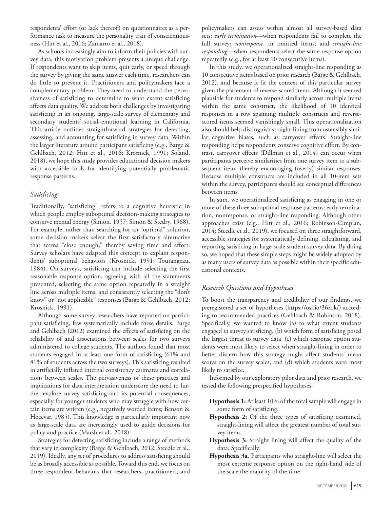respondents' effort (or lack thereof) on questionnaires as a performance task to measure the personality trait of conscientiousness (Hitt et al., 2016; Zamarro et al., 2018).

As schools increasingly aim to inform their policies with survey data, this motivation problem presents a unique challenge. If respondents want to skip items, quit early, or speed through the survey by giving the same answer each time, researchers can do little to prevent it. Practitioners and policymakers face a complementary problem: They need to understand the pervasiveness of satisficing to determine to what extent satisficing affects data quality. We address both challenges by investigating satisficing in an ongoing, large-scale survey of elementary and secondary students' social–emotional learning in California. This article outlines straightforward strategies for detecting, assessing, and accounting for satisficing in survey data. Within the larger literature around participant satisficing (e.g., Barge & Gehlbach, 2012; Hitt et al., 2016; Krosnick, 1991; Soland, 2018), we hope this study provides educational decision makers with accessible tools for identifying potentially problematic response patterns.

## *Satisficing*

Traditionally, "satisficing" refers to a cognitive heuristic in which people employ suboptimal decision-making strategies to conserve mental energy (Simon, 1957; Simon & Stedry, 1968). For example, rather than searching for an "optimal" solution, some decision makers select the first satisfactory alternative that seems "close enough," thereby saving time and effort. Survey scholars have adapted this concept to explain respondents' suboptimal behaviors (Krosnick, 1991; Tourangeau, 1984). On surveys, satisficing can include selecting the first reasonable response option, agreeing with all the statements presented, selecting the same option repeatedly in a straight line across multiple items, and consistently selecting the "don't know" or "not applicable" responses (Barge & Gehlbach, 2012; Krosnick, 1991).

Although some survey researchers have reported on participant satisficing, few systematically include these details. Barge and Gehlbach (2012) examined the effects of satisficing on the reliability of and associations between scales for two surveys administered to college students. The authors found that most students engaged in at least one form of satisficing (61% and 81% of students across the two surveys). This satisficing resulted in artificially inflated internal consistency estimates and correlations between scales. The pervasiveness of these practices and implications for data interpretation underscore the need to further explore survey satisficing and its potential consequences, especially for younger students who may struggle with how certain items are written (e.g., negatively worded items; Benson & Hocevar, 1985). This knowledge is particularly important now as large-scale data are increasingly used to guide decisions for policy and practice (Marsh et al., 2018).

Strategies for detecting satisficing include a range of methods that vary in complexity (Barge & Gehlbach, 2012; Steedle et al., 2019). Ideally, any set of procedures to address satisficing should be as broadly accessible as possible. Toward this end, we focus on three respondent behaviors that researchers, practitioners, and

policymakers can assess within almost all survey-based data sets: *early termination*—when respondents fail to complete the full survey; *nonresponse*, or omitted items; and *straight-line responding*—when respondents select the same response option repeatedly (e.g., for at least 10 consecutive items).

In this study, we operationalized straight-line responding as 10 consecutive items based on prior research (Barge & Gehlbach, 2012), and because it fit the context of this particular survey given the placement of reverse-scored items. Although it seemed plausible for students to respond similarly across multiple items within the same construct, the likelihood of 10 identical responses in a row spanning multiple constructs and reversescored items seemed vanishingly small. This operationalization also should help distinguish straight-lining from ostensibly similar cognitive biases, such as carryover effects. Straight-line responding helps respondents conserve cognitive effort. By contrast, carryover effects (Dillman et al., 2014) can occur when participants perceive similarities from one survey item to a subsequent item, thereby encouraging (overly) similar responses. Because multiple constructs are included in all 10-item sets within the survey, participants should see conceptual differences between items.

In sum, we operationalized satisficing as engaging in one or more of these three suboptimal response patterns: early termination, nonresponse, or straight-line responding. Although other approaches exist (e.g., Hitt et al., 2016; Robinson-Cimpian, 2014; Steedle et al., 2019), we focused on three straightforward, accessible strategies for systematically defining, calculating, and reporting satisficing in large-scale student survey data. By doing so, we hoped that these simple steps might be widely adopted by as many users of survey data as possible within their specific educational contexts.

# *Research Questions and Hypotheses*

To boost the transparency and credibility of our findings, we preregistered a set of hypotheses [\(https://osf.io/36zqk/\)](https://osf.io/36zqk/) according to recommended practices (Gehlbach & Robinson, 2018). Specifically, we wanted to know (a) to what extent students engaged in survey satisficing, (b) which form of satisficing posed the largest threat to survey data, (c) which response option students were most likely to select when straight-lining in order to better discern how this strategy might affect students' mean scores on the survey scales, and (d) which students were most likely to satisfice.

Informed by our exploratory pilot data and prior research, we tested the following prespecified hypotheses:

- **Hypothesis 1:** At least 10% of the total sample will engage in some form of satisficing.
- **Hypothesis 2:** Of the three types of satisficing examined, straight-lining will affect the greatest number of total survey items.
- **Hypothesis 3:** Straight lining will affect the quality of the data. Specifically:
- **Hypothesis 3a.** Participants who straight-line will select the most extreme response option on the right-hand side of the scale the majority of the time.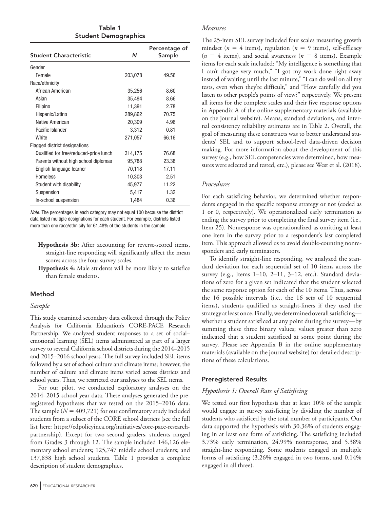Table 1 Student Demographics

| Student Characteristic                 | N       | Percentage of<br>Sample |
|----------------------------------------|---------|-------------------------|
| Gender                                 |         |                         |
| Female                                 | 203,078 | 49.56                   |
| Race/ethnicity                         |         |                         |
| African American                       | 35,256  | 8.60                    |
| Asian                                  | 35,494  | 8.66                    |
| Filipino                               | 11,391  | 2.78                    |
| Hispanic/Latino                        | 289,862 | 70.75                   |
| Native American                        | 20,309  | 4.96                    |
| Pacific Islander                       | 3,312   | 0.81                    |
| White                                  | 271,057 | 66.16                   |
| Flagged district designations          |         |                         |
| Qualified for free/reduced-price lunch | 314,175 | 76.68                   |
| Parents without high school diplomas   | 95,788  | 23.38                   |
| English language learner               | 70,118  | 17.11                   |
| <b>Homeless</b>                        | 10,303  | 2.51                    |
| Student with disability                | 45,977  | 11.22                   |
| Suspension                             | 5,417   | 1.32                    |
| In-school suspension                   | 1,484   | 0.36                    |

*Note.* The percentages in each category may not equal 100 because the district data listed multiple designations for each student. For example, districts listed more than one race/ethnicity for 61.48% of the students in the sample.

- **Hypothesis 3b:** After accounting for reverse-scored items, straight-line responding will significantly affect the mean scores across the four survey scales.
- **Hypothesis 4:** Male students will be more likely to satisfice than female students.

## Method

#### *Sample*

This study examined secondary data collected through the Policy Analysis for California Education's CORE-PACE Research Partnership. We analyzed student responses to a set of social– emotional learning (SEL) items administered as part of a larger survey to several California school districts during the 2014–2015 and 2015–2016 school years. The full survey included SEL items followed by a set of school culture and climate items; however, the number of culture and climate items varied across districts and school years. Thus, we restricted our analyses to the SEL items.

For our pilot, we conducted exploratory analyses on the 2014–2015 school year data. These analyses generated the preregistered hypotheses that we tested on the 2015–2016 data. The sample  $(N = 409,721)$  for our confirmatory study included students from a subset of the CORE school districts (see the full list here: [https://edpolicyinca.org/initiatives/core-pace-research](https://edpolicyinca.org/initiatives/core-pace-research-partnership)[partnership\)](https://edpolicyinca.org/initiatives/core-pace-research-partnership). Except for two second graders, students ranged from Grades 3 through 12. The sample included 146,126 elementary school students; 125,747 middle school students; and 137,838 high school students. Table 1 provides a complete description of student demographics.

#### *Measures*

The 25-item SEL survey included four scales measuring growth mindset ( $n = 4$  items), regulation ( $n = 9$  items), self-efficacy  $(n = 4$  items), and social awareness  $(n = 8$  items). Example items for each scale included: "My intelligence is something that I can't change very much," "I got my work done right away instead of waiting until the last minute," "I can do well on all my tests, even when they're difficult," and "How carefully did you listen to other people's points of view?" respectively. We present all items for the complete scales and their five response options in Appendix A of the online supplementary materials (available on the journal website). Means, standard deviations, and internal consistency reliability estimates are in Table 2. Overall, the goal of measuring these constructs was to better understand students' SEL and to support school-level data-driven decision making. For more information about the development of this survey (e.g., how SEL competencies were determined, how measures were selected and tested, etc.), please see West et al. (2018).

#### *Procedures*

For each satisficing behavior, we determined whether respondents engaged in the specific response strategy or not (coded as 1 or 0, respectively). We operationalized early termination as ending the survey prior to completing the final survey item (i.e., Item 25). Nonresponse was operationalized as omitting at least one item in the survey prior to a respondent's last completed item. This approach allowed us to avoid double-counting nonresponders and early terminators.

To identify straight-line responding, we analyzed the standard deviation for each sequential set of 10 items across the survey (e.g., Items 1–10, 2–11, 3–12, etc.). Standard deviations of zero for a given set indicated that the student selected the same response option for each of the 10 items. Thus, across the 16 possible intervals (i.e., the 16 sets of 10 sequential items), students qualified as straight-liners if they used the strategy at least once. Finally, we determined overall satisficing whether a student satisficed at any point during the survey—by summing these three binary values; values greater than zero indicated that a student satisficed at some point during the survey. Please see Appendix B in the online supplementary materials (available on the journal website) for detailed descriptions of these calculations.

#### Preregistered Results

## *Hypothesis 1: Overall Rate of Satisficing*

We tested our first hypothesis that at least 10% of the sample would engage in survey satisficing by dividing the number of students who satisficed by the total number of participants. Our data supported the hypothesis with 30.36% of students engaging in at least one form of satisficing. The satisficing included 3.73% early termination, 24.99% nonresponse, and 5.38% straight-line responding. Some students engaged in multiple forms of satisficing (3.26% engaged in two forms, and 0.14% engaged in all three).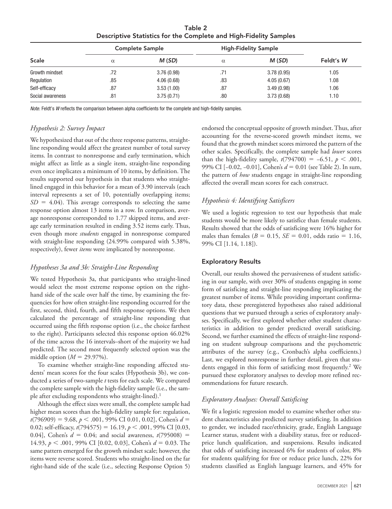Table 2 Descriptive Statistics for the Complete and High-Fidelity Samples

| <b>Scale</b>     | <b>Complete Sample</b> |            | <b>High-Fidelity Sample</b> |            |           |
|------------------|------------------------|------------|-----------------------------|------------|-----------|
|                  | $\alpha$               | M(SD)      | $\alpha$                    | M(SD)      | Feldt's W |
| Growth mindset   | .72                    | 3.76(0.98) | .71                         | 3.78(0.95) | 1.05      |
| Regulation       | .85                    | 4.06(0.68) | .83                         | 4.05(0.67) | 1.08      |
| Self-efficacy    | .87                    | 3.53(1.00) | .87                         | 3.49(0.98) | 1.06      |
| Social awareness | .81                    | 3.75(0.71) | .80                         | 3.73(0.68) | 1.10      |

*Note.* Feldt's *W* reflects the comparison between alpha coefficients for the complete and high-fidelity samples.

## *Hypothesis 2: Survey Impact*

We hypothesized that out of the three response patterns, straightline responding would affect the greatest number of total survey items. In contrast to nonresponse and early termination, which might affect as little as a single item, straight-line responding even once implicates a minimum of 10 items, by definition. The results supported our hypothesis in that students who straightlined engaged in this behavior for a mean of 3.90 intervals (each interval represents a set of 10, potentially overlapping items;  $SD = 4.04$ ). This average corresponds to selecting the same response option almost 13 items in a row. In comparison, average nonresponse corresponded to 1.77 skipped items, and average early termination resulted in ending 3.52 items early. Thus, even though more *students* engaged in nonresponse compared with straight-line responding (24.99% compared with 5.38%, respectively), fewer *items* were implicated by nonresponse.

# *Hypotheses 3a and 3b: Straight-Line Responding*

We tested Hypothesis 3a, that participants who straight-lined would select the most extreme response option on the righthand side of the scale over half the time, by examining the frequencies for how often straight-line responding occurred for the first, second, third, fourth, and fifth response options. We then calculated the percentage of straight-line responding that occurred using the fifth response option (i.e., the choice farthest to the right). Participants selected this response option 46.02% of the time across the 16 intervals–short of the majority we had predicted. The second most frequently selected option was the middle option  $(M = 29.97\%)$ .

To examine whether straight-line responding affected students' mean scores for the four scales (Hypothesis 3b), we conducted a series of two-sample *t* tests for each scale. We compared the complete sample with the high-fidelity sample (i.e., the sample after excluding respondents who straight-lined).<sup>1</sup>

Although the effect sizes were small, the complete sample had higher mean scores than the high-fidelity sample for: regulation, *t*(796909) = 9.68, *p* < .001, 99% CI 0.01, 0.02], Cohen's *d* = 0.02; self-efficacy,  $t(794575) = 16.19$ ,  $p < .001$ , 99% CI [0.03, 0.04], Cohen's  $d = 0.04$ ; and social awareness,  $t(795008) =$ 14.93, *p* < .001, 99% CI [0.02, 0.03], Cohen's *d* = 0.03. The same pattern emerged for the growth mindset scale; however, the items were reverse scored. Students who straight-lined on the far right-hand side of the scale (i.e., selecting Response Option 5) endorsed the conceptual opposite of growth mindset. Thus, after accounting for the reverse-scored growth mindset items, we found that the growth mindset scores mirrored the pattern of the other scales. Specifically, the complete sample had *lower* scores than the high-fidelity sample,  $t(794700) = -6.51$ ,  $p < .001$ , 99% CI [−0.02, −0.01], Cohen's *d* = 0.01 (see Table 2). In sum, the pattern of *how* students engage in straight-line responding affected the overall mean scores for each construct.

# *Hypothesis 4: Identifying Satisficers*

We used a logistic regression to test our hypothesis that male students would be more likely to satisfice than female students. Results showed that the odds of satisficing were 16% higher for males than females ( $B = 0.15$ ,  $SE = 0.01$ , odds ratio = 1.16, 99% CI [1.14, 1.18]).

# Exploratory Results

Overall, our results showed the pervasiveness of student satisficing in our sample, with over 30% of students engaging in some form of satisficing and straight-line responding implicating the greatest number of items. While providing important confirmatory data, these preregistered hypotheses also raised additional questions that we pursued through a series of exploratory analyses. Specifically, we first explored whether other student characteristics in addition to gender predicted overall satisficing. Second, we further examined the effects of straight-line responding on student subgroup comparisons and the psychometric attributes of the survey (e.g., Cronbach's alpha coefficients.) Last, we explored nonresponse in further detail, given that students engaged in this form of satisficing most frequently.<sup>2</sup> We pursued these exploratory analyses to develop more refined recommendations for future research.

# *Exploratory Analyses: Overall Satisficing*

We fit a logistic regression model to examine whether other student characteristics also predicted survey satisficing. In addition to gender, we included race/ethnicity, grade, English Language Learner status, student with a disability status, free or reducedprice lunch qualification, and suspensions. Results indicated that odds of satisficing increased 6% for students of color, 8% for students qualifying for free or reduce price lunch, 22% for students classified as English language learners, and 45% for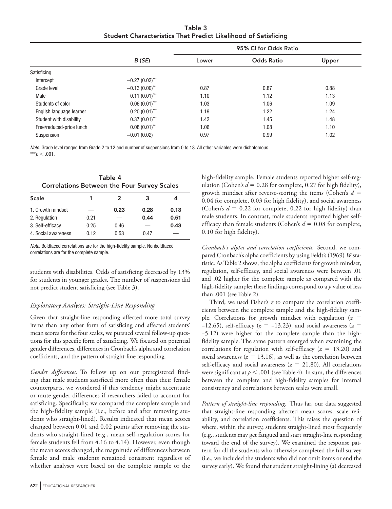Table 3 Student Characteristics That Predict Likelihood of Satisficing

|                          | B(SE)             | Lower | <b>Odds Ratio</b> | Upper |
|--------------------------|-------------------|-------|-------------------|-------|
| Satisficing              |                   |       |                   |       |
| Intercept                | $-0.27(0.02)$ *** |       |                   |       |
| Grade level              | $-0.13(0.00)$ *** | 0.87  | 0.87              | 0.88  |
| Male                     | $0.11(0.01)$ ***  | 1.10  | 1.12              | 1.13  |
| Students of color        | $0.06(0.01)$ ***  | 1.03  | 1.06              | 1.09  |
| English language learner | $0.20(0.01)$ ***  | 1.19  | 1.22              | 1.24  |
| Student with disability  | $0.37(0.01)$ ***  | 1.42  | 1.45              | 1.48  |
| Free/reduced-price lunch | $0.08(0.01)$ ***  | 1.06  | 1.08              | 1.10  |
| Suspension               | $-0.01(0.02)$     | 0.97  | 0.99              | 1.02  |

*Note.* Grade level ranged from Grade 2 to 12 and number of suspensions from 0 to 18. All other variables were dichotomous. \*\*\* $p < .001$ .

| Table 4                                            |  |  |  |
|----------------------------------------------------|--|--|--|
| <b>Correlations Between the Four Survey Scales</b> |  |  |  |

| <b>Scale</b>        |      | 2    | 3    |      |
|---------------------|------|------|------|------|
| 1. Growth mindset   |      | 0.23 | 0.28 | 0.13 |
| 2. Regulation       | 0.21 |      | 0.44 | 0.51 |
| 3. Self-efficacy    | 0.25 | 0.46 |      | 0.43 |
| 4. Social awareness | 0.12 | 0.53 | 0.47 |      |

*Note.* Boldfaced correlations are for the high-fidelity sample. Nonboldfaced correlations are for the complete sample.

students with disabilities. Odds of satisficing decreased by 13% for students in younger grades. The number of suspensions did not predict student satisficing (see Table 3).

# *Exploratory Analyses: Straight-Line Responding*

Given that straight-line responding affected more total survey items than any other form of satisficing and affected students' mean scores for the four scales, we pursued several follow-up questions for this specific form of satisficing. We focused on potential gender differences, differences in Cronbach's alpha and correlation coefficients, and the pattern of straight-line responding.

*Gender differences.* To follow up on our preregistered finding that male students satisficed more often than their female counterparts, we wondered if this tendency might accentuate or mute gender differences if researchers failed to account for satisficing. Specifically, we compared the complete sample and the high-fidelity sample (i.e., before and after removing students who straight-lined). Results indicated that mean scores changed between 0.01 and 0.02 points after removing the students who straight-lined (e.g., mean self-regulation scores for female students fell from 4.16 to 4.14). However, even though the mean scores changed, the magnitude of differences between female and male students remained consistent regardless of whether analyses were based on the complete sample or the

high-fidelity sample. Female students reported higher self-regulation (Cohen's  $d = 0.28$  for complete, 0.27 for high fidelity), growth mindset after reverse-scoring the items (Cohen's *d* = 0.04 for complete, 0.03 for high fidelity), and social awareness (Cohen's  $d = 0.22$  for complete, 0.22 for high fidelity) than male students. In contrast, male students reported higher selfefficacy than female students (Cohen's *d* = 0.08 for complete, 0.10 for high fidelity).

*Cronbach's alpha and correlation coefficients.* Second, we compared Cronbach's alpha coefficients by using Feldt's (1969) *W* statistic. As Table 2 shows, the alpha coefficients for growth mindset, regulation, self-efficacy, and social awareness were between .01 and .02 higher for the complete sample as compared with the high-fidelity sample; these findings correspond to a *p* value of less than .001 (see Table 2).

Third, we used Fisher's *z* to compare the correlation coefficients between the complete sample and the high-fidelity sample. Correlations for growth mindset with regulation  $(z =$ −12.65), self-efficacy (*z* = −13.23), and social awareness (*z* = −5.12) were higher for the complete sample than the highfidelity sample. The same pattern emerged when examining the correlations for regulation with self-efficacy  $(z = 13.20)$  and social awareness ( $z = 13.16$ ), as well as the correlation between self-efficacy and social awareness ( $z = 21.80$ ). All correlations were significant at  $p < .001$  (see Table 4). In sum, the differences between the complete and high-fidelity samples for internal consistency and correlations between scales were small.

*Pattern of straight-line responding.* Thus far, our data suggested that straight-line responding affected mean scores, scale reliability, and correlation coefficients. This raises the question of where, within the survey, students straight-lined most frequently (e.g., students may get fatigued and start straight-line responding toward the end of the survey). We examined the response pattern for all the students who otherwise completed the full survey (i.e., we included the students who did not omit items or end the survey early). We found that student straight-lining (a) decreased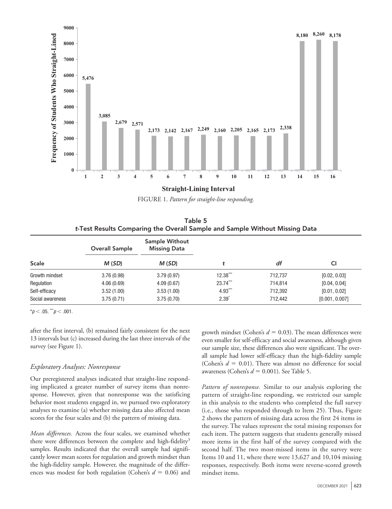

FIGURE 1. Pattern for straight-line responding.

Table 5 *t*-Test Results Comparing the Overall Sample and Sample Without Missing Data

|                  | <b>Overall Sample</b> | Sample Without<br><b>Missing Data</b> |            |         |                |
|------------------|-----------------------|---------------------------------------|------------|---------|----------------|
| <b>Scale</b>     | M(SD)                 | M(SD)                                 |            | df      | СI             |
| Growth mindset   | 3.76(0.98)            | 3.79(0.97)                            | $12.38***$ | 712,737 | [0.02, 0.03]   |
| Regulation       | 4.06(0.69)            | 4.09(0.67)                            | $23.74***$ | 714,814 | [0.04, 0.04]   |
| Self-efficacy    | 3.52(1.00)            | 3.53(1.00)                            | $4.93***$  | 712,392 | [0.01, 0.02]   |
| Social awareness | 3.75(0.71)            | 3.75(0.70)                            | $2.39^{*}$ | 712.442 | [0.001, 0.007] |

 $*p < .05.$  \*\*\* $p < .001.$ 

after the first interval, (b) remained fairly consistent for the next 13 intervals but (c) increased during the last three intervals of the survey (see Figure 1).

# *Exploratory Analyses: Nonresponse*

Our preregistered analyses indicated that straight-line responding implicated a greater number of survey items than nonresponse. However, given that nonresponse was the satisficing behavior most students engaged in, we pursued two exploratory analyses to examine (a) whether missing data also affected mean scores for the four scales and (b) the pattern of missing data.

*Mean differences.* Across the four scales, we examined whether there were differences between the complete and high-fidelity<sup>3</sup> samples. Results indicated that the overall sample had significantly lower mean scores for regulation and growth mindset than the high-fidelity sample. However, the magnitude of the differences was modest for both regulation (Cohen's *d* = 0.06) and growth mindset (Cohen's  $d = 0.03$ ). The mean differences were even smaller for self-efficacy and social awareness, although given our sample size, these differences also were significant. The overall sample had lower self-efficacy than the high-fidelity sample (Cohen's  $d = 0.01$ ). There was almost no difference for social awareness (Cohen's *d* = 0.001). See Table 5.

*Pattern of nonresponse.* Similar to our analysis exploring the pattern of straight-line responding, we restricted our sample in this analysis to the students who completed the full survey (i.e., those who responded through to Item 25). Thus, Figure 2 shows the pattern of missing data across the first 24 items in the survey. The values represent the total missing responses for each item. The pattern suggests that students generally missed more items in the first half of the survey compared with the second half. The two most-missed items in the survey were Items 10 and 11, where there were 13,627 and 10,104 missing responses, respectively. Both items were reverse-scored growth mindset items.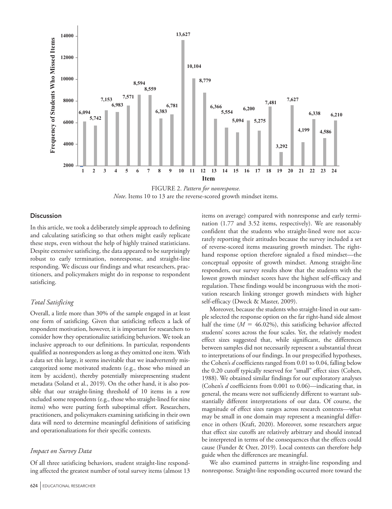

FIGURE 2. Pattern for nonresponse. *Note*. Items 10 to 13 are the reverse-scored growth mindset items.

## **Discussion**

In this article, we took a deliberately simple approach to defining and calculating satisficing so that others might easily replicate these steps, even without the help of highly trained statisticians. Despite extensive satisficing, the data appeared to be surprisingly robust to early termination, nonresponse, and straight-line responding. We discuss our findings and what researchers, practitioners, and policymakers might do in response to respondent satisficing.

## *Total Satisficing*

Overall, a little more than 30% of the sample engaged in at least one form of satisficing. Given that satisficing reflects a lack of respondent motivation, however, it is important for researchers to consider how they operationalize satisficing behaviors. We took an inclusive approach to our definitions. In particular, respondents qualified as nonresponders as long as they omitted one item. With a data set this large, it seems inevitable that we inadvertently miscategorized some motivated students (e.g., those who missed an item by accident), thereby potentially misrepresenting student metadata (Soland et al., 2019). On the other hand, it is also possible that our straight-lining threshold of 10 items in a row excluded some respondents (e.g., those who straight-lined for nine items) who were putting forth suboptimal effort. Researchers, practitioners, and policymakers examining satisficing in their own data will need to determine meaningful definitions of satisficing and operationalizations for their specific contexts.

## *Impact on Survey Data*

Of all three satisficing behaviors, student straight-line responding affected the greatest number of total survey items (almost 13 items on average) compared with nonresponse and early termination (1.77 and 3.52 items, respectively). We are reasonably confident that the students who straight-lined were not accurately reporting their attitudes because the survey included a set of reverse-scored items measuring growth mindset. The righthand response option therefore signaled a fixed mindset—the conceptual opposite of growth mindset. Among straight-line responders, our survey results show that the students with the lowest growth mindset scores have the highest self-efficacy and regulation. These findings would be incongruous with the motivation research linking stronger growth mindsets with higher self-efficacy (Dweck & Master, 2009).

Moreover, because the students who straight-lined in our sample selected the response option on the far right-hand side almost half the time  $(M = 46.02\%)$ , this satisficing behavior affected students' scores across the four scales. Yet, the relatively modest effect sizes suggested that, while significant, the differences between samples did not necessarily represent a substantial threat to interpretations of our findings. In our prespecified hypotheses, the Cohen's *d* coefficients ranged from 0.01 to 0.04, falling below the 0.20 cutoff typically reserved for "small" effect sizes (Cohen, 1988). We obtained similar findings for our exploratory analyses (Cohen's *d* coefficients from 0.001 to 0.06)—indicating that, in general, the means were not sufficiently different to warrant substantially different interpretations of our data. Of course, the magnitude of effect sizes ranges across research contexts—what may be small in one domain may represent a meaningful difference in others (Kraft, 2020). Moreover, some researchers argue that effect size cutoffs are relatively arbitrary and should instead be interpreted in terms of the consequences that the effects could cause (Funder & Ozer, 2019). Local contexts can therefore help guide when the differences are meaningful.

We also examined patterns in straight-line responding and nonresponse. Straight-line responding occurred more toward the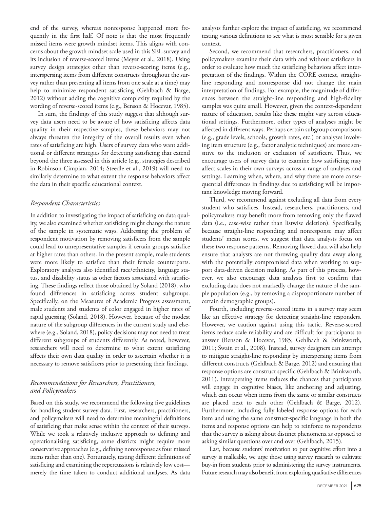end of the survey, whereas nonresponse happened more frequently in the first half. Of note is that the most frequently missed items were growth mindset items. This aligns with concerns about the growth mindset scale used in this SEL survey and its inclusion of reverse-scored items (Meyer et al., 2018). Using survey design strategies other than reverse-scoring items (e.g., interspersing items from different constructs throughout the survey rather than presenting all items from one scale at a time) may help to minimize respondent satisficing (Gehlbach & Barge, 2012) without adding the cognitive complexity required by the wording of reverse-scored items (e.g., Benson & Hocevar, 1985).

In sum, the findings of this study suggest that although survey data users need to be aware of how satisficing affects data quality in their respective samples, these behaviors may not always threaten the integrity of the overall results even when rates of satisficing are high. Users of survey data who want additional or different strategies for detecting satisficing that extend beyond the three assessed in this article (e.g., strategies described in Robinson-Cimpian, 2014; Steedle et al., 2019) will need to similarly determine to what extent the response behaviors affect the data in their specific educational context.

## *Respondent Characteristics*

In addition to investigating the impact of satisficing on data quality, we also examined whether satisficing might change the nature of the sample in systematic ways. Addressing the problem of respondent motivation by removing satisficers from the sample could lead to unrepresentative samples if certain groups satisfice at higher rates than others. In the present sample, male students were more likely to satisfice than their female counterparts. Exploratory analyses also identified race/ethnicity, language status, and disability status as other factors associated with satisficing. These findings reflect those obtained by Soland (2018), who found differences in satisficing across student subgroups. Specifically, on the Measures of Academic Progress assessment, male students and students of color engaged in higher rates of rapid guessing (Soland, 2018). However, because of the modest nature of the subgroup differences in the current study and elsewhere (e.g., Soland, 2018), policy decisions may not need to treat different subgroups of students differently. As noted, however, researchers will need to determine to what extent satisficing affects their own data quality in order to ascertain whether it is necessary to remove satisficers prior to presenting their findings.

# *Recommendations for Researchers, Practitioners, and Policymakers*

Based on this study, we recommend the following five guidelines for handling student survey data. First, researchers, practitioners, and policymakers will need to determine meaningful definitions of satisficing that make sense within the context of their surveys. While we took a relatively inclusive approach to defining and operationalizing satisficing, some districts might require more conservative approaches (e.g., defining nonresponse as four missed items rather than one). Fortunately, testing different definitions of satisficing and examining the repercussions is relatively low cost merely the time taken to conduct additional analyses. As data

analysts further explore the impact of satisficing, we recommend testing various definitions to see what is most sensible for a given context.

Second, we recommend that researchers, practitioners, and policymakers examine their data with and without satisficers in order to evaluate how much the satisficing behaviors affect interpretation of the findings. Within the CORE context, straightline responding and nonresponse did not change the main interpretation of findings. For example, the magnitude of differences between the straight-line responding and high-fidelity samples was quite small. However, given the context-dependent nature of education, results like these might vary across educational settings. Furthermore, other types of analyses might be affected in different ways. Perhaps certain subgroup comparisons (e.g., grade levels, schools, growth rates, etc.) or analyses involving item structure (e.g., factor analytic techniques) are more sensitive to the inclusion or exclusion of satisficers. Thus, we encourage users of survey data to examine how satisficing may affect scales in their own surveys across a range of analyses and settings. Learning when, where, and why there are more consequential differences in findings due to satisficing will be important knowledge moving forward.

Third, we recommend against excluding all data from every student who satisfices. Instead, researchers, practitioners, and policymakers may benefit more from removing only the flawed data (i.e., case-wise rather than listwise deletion). Specifically, because straight-line responding and nonresponse may affect students' mean scores, we suggest that data analysts focus on these two response patterns. Removing flawed data will also help ensure that analysts are not throwing quality data away along with the potentially compromised data when working to support data-driven decision making. As part of this process, however, we also encourage data analysts first to confirm that excluding data does not markedly change the nature of the sample population (e.g., by removing a disproportionate number of certain demographic groups).

Fourth, including reverse-scored items in a survey may seem like an effective strategy for detecting straight-line responders. However, we caution against using this tactic. Reverse-scored items reduce scale reliability and are difficult for participants to answer (Benson & Hocevar, 1985; Gehlbach & Brinkworth, 2011; Swain et al., 2008). Instead, survey designers can attempt to mitigate straight-line responding by interspersing items from different constructs (Gehlbach & Barge, 2012) and ensuring that response options are construct specific (Gehlbach & Brinkworth, 2011). Interspersing items reduces the chances that participants will engage in cognitive biases, like anchoring and adjusting, which can occur when items from the same or similar constructs are placed next to each other (Gehlbach & Barge, 2012). Furthermore, including fully labeled response options for each item and using the same construct-specific language in both the items and response options can help to reinforce to respondents that the survey is asking about distinct phenomena as opposed to asking similar questions over and over (Gehlbach, 2015).

Last, because students' motivation to put cognitive effort into a survey is malleable, we urge those using survey research to cultivate buy-in from students prior to administering the survey instruments. Future research may also benefit from exploring qualitative differences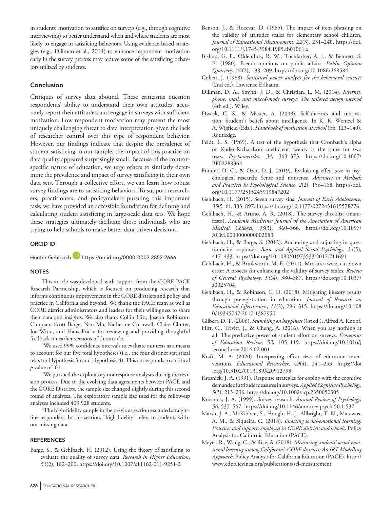in students' motivation to satisfice on surveys (e.g., through cognitive interviewing) to better understand when and where students are most likely to engage in satisficing behaviors. Using evidence-based strategies (e.g., Dillman et al., 2014) to enhance respondent motivation early in the survey process may reduce some of the satisficing behaviors utilized by students.

# Conclusion

Critiques of survey data abound. These criticisms question respondents' ability to understand their own attitudes, accurately report their attitudes, and engage in surveys with sufficient motivation. Low respondent motivation may present the most uniquely challenging threat to data interpretation given the lack of researcher control over this type of respondent behavior. However, our findings indicate that despite the prevalence of student satisficing in our sample, the impact of this practice on data quality appeared surprisingly small. Because of the contextspecific nature of education, we urge others to similarly determine the prevalence and impact of survey satisficing in their own data sets. Through a collective effort, we can learn how robust survey findings are to satisficing behaviors. To support researchers, practitioners, and policymakers pursuing this important task, we have provided an accessible foundation for defining and calculating student satisficing in large-scale data sets. We hope these strategies ultimately facilitate those individuals who are trying to help schools to make better data-driven decisions.

#### ORCID iD

Hunter Gehlbach **b**<https://orcid.org/0000-0002-2852-2666>

#### **NOTES**

This article was developed with support from the CORE-PACE Research Partnership, which is focused on producing research that informs continuous improvement in the CORE districts and policy and practice in California and beyond. We thank the PACE team as well as CORE district administrators and leaders for their willingness to share their data and insights. We also thank Collin Hitt, Joseph Robinson-Cimpian, Scott Barge, Nan Mu, Katherine Cornwall, Claire Chuter, Joe Witte, and Hans Fricke for reviewing and providing thoughtful feedback on earlier versions of this article.

<sup>1</sup>We used 99% confidence intervals to evaluate our tests as a means to account for our five total hypotheses (i.e., the four distinct statistical tests for Hypothesis 3b and Hypothesis 4). This corresponds to a critical *p* value of .01.

2 We pursued the exploratory nonresponse analyses during the revision process. Due to the evolving data agreements between PACE and the CORE Districts, the sample size changed slightly during this second round of analyses. The exploratory sample size used for the follow-up analyses included 409,928 students.

 $\rm ^3$ The high-fidelity sample in the previous section excluded straightline responders. In this section, "high-fidelity" refers to students without missing data.

#### **REFERENCES**

- Barge, S., & Gehlbach, H. (2012). Using the theory of satisficing to evaluate the quality of survey data. *Research in Higher Education*, *53*(2), 182–200.<https://doi.org/10.1007/s11162-011-9251-2>
- 
- Benson, J., & Hocevar, D. (1985). The impact of item phrasing on the validity of attitudes scales for elementary school children. *Journal of Educational Measurement*, *22*(3), 231–240. [https://doi.](https://doi.org/10.1111/j.1745-3984.1985.tb01061.x) [org/10.1111/j.1745-3984.1985.tb01061.x](https://doi.org/10.1111/j.1745-3984.1985.tb01061.x)
- Bishop, G. F., Oldendick, R. W., Tuchfarber, A. J., & Bennett, S. E. (1980). Pseudo-opinions on public affairs. *Public Opinion Quarterly*, *44*(2), 198–209.<https://doi.org/10.1086/268584>
- Cohen, J. (1988). *Statistical power analysis for the behavioral sciences* (2nd ed.). Lawrence Erlbaum.
- Dillman, D. A., Smyth, J. D., & Christian, L. M. (2014). *Internet, phone, mail, and mixed-mode surveys: The tailored design method* (4th ed.). Wiley.
- Dweck, C. S., & Master, A. (2009). Self-theories and motivation: Student's beliefs about intelligence. In K. R. Wentzel & A. Wigfield (Eds.), *Handbook of motivation at school* (pp. 123–140). Routledge.
- Feldt, L. S. (1969). A test of the hypothesis that Cronbach's alpha or Kuder-Richardson coefficient twenty is the same for two tests. *Psychometrika*, *34*, 363–373. [https://doi.org/10.1007/](https://doi.org/10.1007/BF02289364) [BF02289364](https://doi.org/10.1007/BF02289364)
- Funder, D. C., & Ozer, D. J. (2019). Evaluating effect size in psychological research: Sense and nonsense. *Advances in Methods and Practices in Psychological Science*, *2*(2), 156–168. [https://doi.](https://doi.org/10.1177/2515245919847202) [org/10.1177/2515245919847202](https://doi.org/10.1177/2515245919847202)
- Gehlbach, H. (2015). Seven survey sins. *Journal of Early Adolescence*, *35*(5–6), 883–897.<https://doi.org/10.1177/0272431615578276>
- Gehlbach, H., & Artino, A. R. (2018). The survey checklist (manifesto). *Academic Medicine: Journal of the Association of American Medical Colleges*, *93*(3), 360–366. [https://doi.org/10.1097/](https://doi.org/10.1097/ACM.0000000000002083) [ACM.0000000000002083](https://doi.org/10.1097/ACM.0000000000002083)
- Gehlbach, H., & Barge, S. (2012). Anchoring and adjusting in questionnaire responses. *Basic and Applied Social Psychology*, *34*(5), 417–433.<https://doi.org/10.1080/01973533.2012.711691>
- Gehlbach, H., & Brinkworth, M. E. (2011). Measure twice, cut down error: A process for enhancing the validity of survey scales. *Review of General Psychology*, *15*(4), 380–387. [https://doi.org/10.1037/](https://doi.org/10.1037/a0025704) [a0025704](https://doi.org/10.1037/a0025704)
- Gehlbach, H., & Robinson, C. D. (2018). Mitigating illusory results through preregistration in education. *Journal of Research on Educational Effectiveness*, *11*(2), 296–315. [https://doi.org/10.108](https://doi.org/10.1080/19345747.2017.1387950) [0/19345747.2017.1387950](https://doi.org/10.1080/19345747.2017.1387950)
- Gilbert, D. T. (2006). *Stumbling on happiness* (1st ed.). Alfred A. Knopf.
- Hitt, C., Trivitt, J., & Cheng, A. (2016). When you say nothing at all: The predictive power of student effort on surveys. *Economics of Education Review*, *52*, 105–119. [https://doi.org/10.1016/j](https://doi.org/10.1016/j.econedurev.2016.02.001) [.econedurev.2016.02.001](https://doi.org/10.1016/j.econedurev.2016.02.001)
- Kraft, M. A. (2020). Interpreting effect sizes of education interventions. *Educational Researcher*, *49*(4), 241–253. [https://doi](https://doi.org/10.3102/0013189X20912798) [.org/10.3102/0013189X20912798](https://doi.org/10.3102/0013189X20912798)
- Krosnick, J. A. (1991). Response strategies for coping with the cognitive demands of attitude measures in surveys. *Applied Cognitive Psychology*, *5*(3), 213–236.<https://doi.org/10.1002/acp.2350050305>
- Krosnick, J. A. (1999). Survey research. *Annual Review of Psychology*, *50*, 537–567. <https://doi.org/10.1146/annurev.psych.50.1.537>
- Marsh, J. A., McKibben, S., Hough, H. J., Allbright, T. N., Matewos, A. M., & Siqueira, C. (2018). *Enacting social-emotional learning: Practices and supports employed in CORE districts and schools*. Policy Analysis for California Education (PACE).
- Meyer, R., Wang, C., & Rice, A. (2018). *Measuring students' social-emotional learning among California's CORE districts: An IRT Modelling Approach*. Policy Analysis for California Education (PACE). [http://](http://www.edpolicyinca.org/publications/sel-measurement) [www.edpolicyinca.org/publications/sel-measurement](http://www.edpolicyinca.org/publications/sel-measurement)